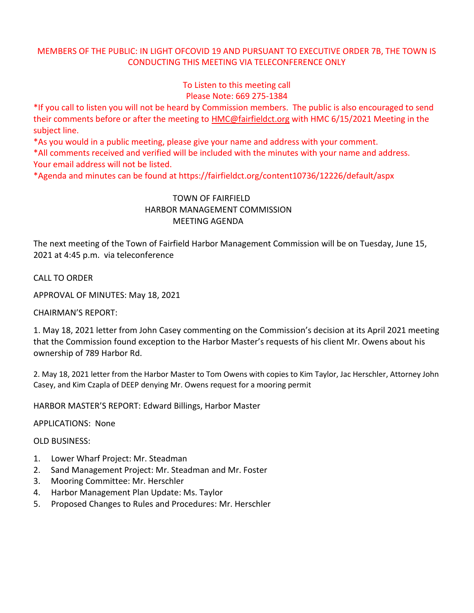## MEMBERS OF THE PUBLIC: IN LIGHT OFCOVID 19 AND PURSUANT TO EXECUTIVE ORDER 7B, THE TOWN IS CONDUCTING THIS MEETING VIA TELECONFERENCE ONLY

To Listen to this meeting call Please Note: 669 275-1384

\*If you call to listen you will not be heard by Commission members. The public is also encouraged to send their comments before or after the meeting to [HMC@fairfieldct.org](mailto:HMC@fairfieldct.org) with HMC 6/15/2021 Meeting in the subject line.

\*As you would in a public meeting, please give your name and address with your comment.

\*All comments received and verified will be included with the minutes with your name and address. Your email address will not be listed.

\*Agenda and minutes can be found at https://fairfieldct.org/content10736/12226/default/aspx

## TOWN OF FAIRFIELD HARBOR MANAGEMENT COMMISSION MEETING AGENDA

The next meeting of the Town of Fairfield Harbor Management Commission will be on Tuesday, June 15, 2021 at 4:45 p.m. via teleconference

CALL TO ORDER

APPROVAL OF MINUTES: May 18, 2021

CHAIRMAN'S REPORT:

1. May 18, 2021 letter from John Casey commenting on the Commission's decision at its April 2021 meeting that the Commission found exception to the Harbor Master's requests of his client Mr. Owens about his ownership of 789 Harbor Rd.

2. May 18, 2021 letter from the Harbor Master to Tom Owens with copies to Kim Taylor, Jac Herschler, Attorney John Casey, and Kim Czapla of DEEP denying Mr. Owens request for a mooring permit

HARBOR MASTER'S REPORT: Edward Billings, Harbor Master

APPLICATIONS: None

OLD BUSINESS:

- 1. Lower Wharf Project: Mr. Steadman
- 2. Sand Management Project: Mr. Steadman and Mr. Foster
- 3. Mooring Committee: Mr. Herschler
- 4. Harbor Management Plan Update: Ms. Taylor
- 5. Proposed Changes to Rules and Procedures: Mr. Herschler